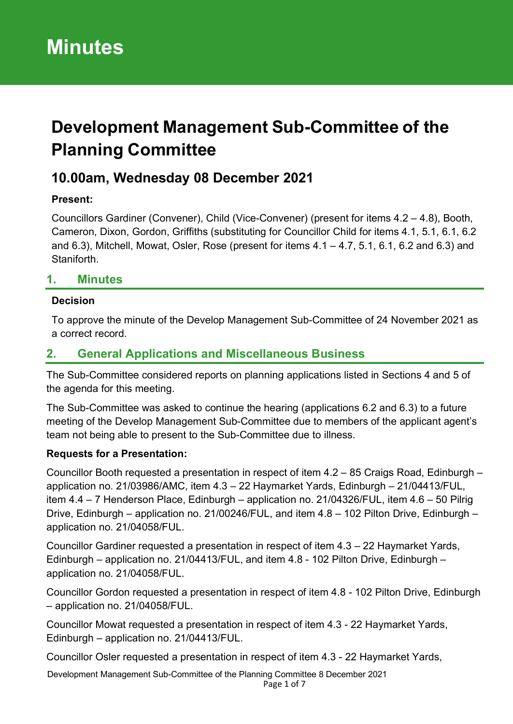# **Development Management Sub-Committee of the Planning Committee**

## **10.00am, Wednesday 08 December 2021**

#### **Present:**

Councillors Gardiner (Convener), Child (Vice-Convener) (present for items 4.2 – 4.8), Booth, Cameron, Dixon, Gordon, Griffiths (substituting for Councillor Child for items 4.1, 5.1, 6.1, 6.2 and 6.3), Mitchell, Mowat, Osler, Rose (present for items 4.1 – 4.7, 5.1, 6.1, 6.2 and 6.3) and Staniforth.

#### **1. Minutes**

#### **Decision**

To approve the minute of the Develop Management Sub-Committee of 24 November 2021 as a correct record.

#### **2. General Applications and Miscellaneous Business**

The Sub-Committee considered reports on planning applications listed in Sections 4 and 5 of the agenda for this meeting.

The Sub-Committee was asked to continue the hearing (applications 6.2 and 6.3) to a future meeting of the Develop Management Sub-Committee due to members of the applicant agent's team not being able to present to the Sub-Committee due to illness.

#### **Requests for a Presentation:**

Councillor Booth requested a presentation in respect of item 4.2 – 85 Craigs Road, Edinburgh – application no. 21/03986/AMC, item 4.3 – 22 Haymarket Yards, Edinburgh – 21/04413/FUL, item 4.4 – 7 Henderson Place, Edinburgh – application no. 21/04326/FUL, item 4.6 – 50 Pilrig Drive, Edinburgh – application no. 21/00246/FUL, and item 4.8 – 102 Pilton Drive, Edinburgh – application no. 21/04058/FUL.

Councillor Gardiner requested a presentation in respect of item 4.3 – 22 Haymarket Yards, Edinburgh – application no. 21/04413/FUL, and item 4.8 - 102 Pilton Drive, Edinburgh – application no. 21/04058/FUL.

Councillor Gordon requested a presentation in respect of item 4.8 - 102 Pilton Drive, Edinburgh – application no. 21/04058/FUL.

Councillor Mowat requested a presentation in respect of item 4.3 - 22 Haymarket Yards, Edinburgh – application no. 21/04413/FUL.

Councillor Osler requested a presentation in respect of item 4.3 - 22 Haymarket Yards,

Development Management Sub-Committee of the Planning Committee 8 December 2021 Page 1 of 7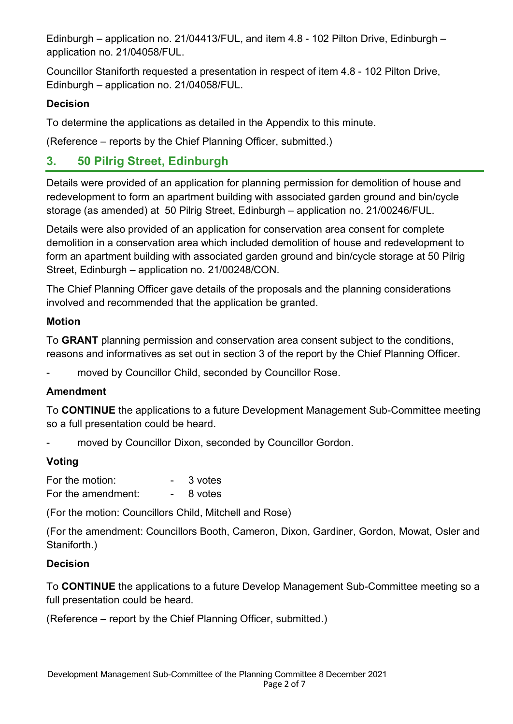Edinburgh – application no. 21/04413/FUL, and item 4.8 - 102 Pilton Drive, Edinburgh – application no. 21/04058/FUL.

Councillor Staniforth requested a presentation in respect of item 4.8 - 102 Pilton Drive, Edinburgh – application no. 21/04058/FUL.

#### **Decision**

To determine the applications as detailed in the Appendix to this minute.

(Reference – reports by the Chief Planning Officer, submitted.)

### **3. 50 Pilrig Street, Edinburgh**

Details were provided of an application for planning permission for demolition of house and redevelopment to form an apartment building with associated garden ground and bin/cycle storage (as amended) at 50 Pilrig Street, Edinburgh – application no. 21/00246/FUL.

Details were also provided of an application for conservation area consent for complete demolition in a conservation area which included demolition of house and redevelopment to form an apartment building with associated garden ground and bin/cycle storage at 50 Pilrig Street, Edinburgh – application no. 21/00248/CON.

The Chief Planning Officer gave details of the proposals and the planning considerations involved and recommended that the application be granted.

#### **Motion**

To **GRANT** planning permission and conservation area consent subject to the conditions, reasons and informatives as set out in section 3 of the report by the Chief Planning Officer.

moved by Councillor Child, seconded by Councillor Rose.

#### **Amendment**

To **CONTINUE** the applications to a future Development Management Sub-Committee meeting so a full presentation could be heard.

moved by Councillor Dixon, seconded by Councillor Gordon.

#### **Voting**

| For the motion:    | 3 votes |
|--------------------|---------|
| For the amendment: | 8 votes |

(For the motion: Councillors Child, Mitchell and Rose)

(For the amendment: Councillors Booth, Cameron, Dixon, Gardiner, Gordon, Mowat, Osler and Staniforth.)

#### **Decision**

To **CONTINUE** the applications to a future Develop Management Sub-Committee meeting so a full presentation could be heard.

(Reference – report by the Chief Planning Officer, submitted.)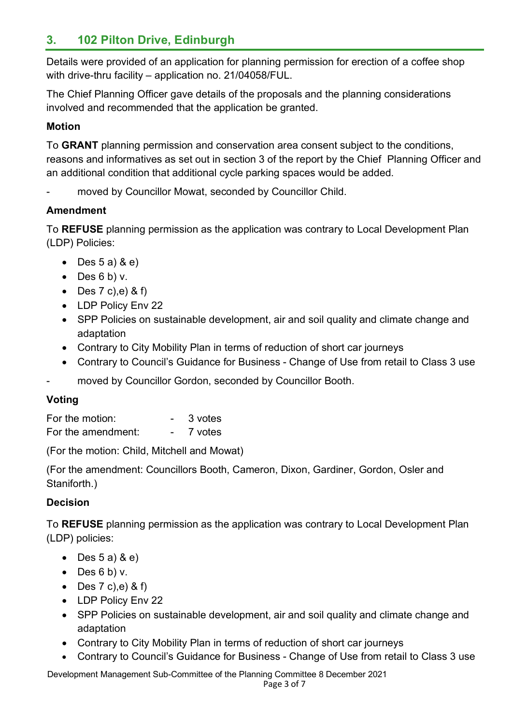## **3. 102 Pilton Drive, Edinburgh**

Details were provided of an application for planning permission for erection of a coffee shop with drive-thru facility – application no. 21/04058/FUL.

The Chief Planning Officer gave details of the proposals and the planning considerations involved and recommended that the application be granted.

#### **Motion**

To **GRANT** planning permission and conservation area consent subject to the conditions, reasons and informatives as set out in section 3 of the report by the Chief Planning Officer and an additional condition that additional cycle parking spaces would be added.

moved by Councillor Mowat, seconded by Councillor Child.

#### **Amendment**

To **REFUSE** planning permission as the application was contrary to Local Development Plan (LDP) Policies:

- $\bullet$  Des 5 a) & e)
- $\bullet$  Des 6 b) v.
- Des  $7$  c), e) & f)
- LDP Policy Env 22
- SPP Policies on sustainable development, air and soil quality and climate change and adaptation
- Contrary to City Mobility Plan in terms of reduction of short car journeys
- Contrary to Council's Guidance for Business Change of Use from retail to Class 3 use
- moved by Councillor Gordon, seconded by Councillor Booth.

#### **Voting**

| For the motion:    | 3 votes |
|--------------------|---------|
| For the amendment: | 7 votes |

(For the motion: Child, Mitchell and Mowat)

(For the amendment: Councillors Booth, Cameron, Dixon, Gardiner, Gordon, Osler and Staniforth.)

#### **Decision**

To **REFUSE** planning permission as the application was contrary to Local Development Plan (LDP) policies:

- Des  $5$  a)  $8$  e)
- Des  $6 b$ ) v.
- Des  $7$  c), e) & f)
- LDP Policy Env 22
- SPP Policies on sustainable development, air and soil quality and climate change and adaptation
- Contrary to City Mobility Plan in terms of reduction of short car journeys
- Contrary to Council's Guidance for Business Change of Use from retail to Class 3 use

Development Management Sub-Committee of the Planning Committee 8 December 2021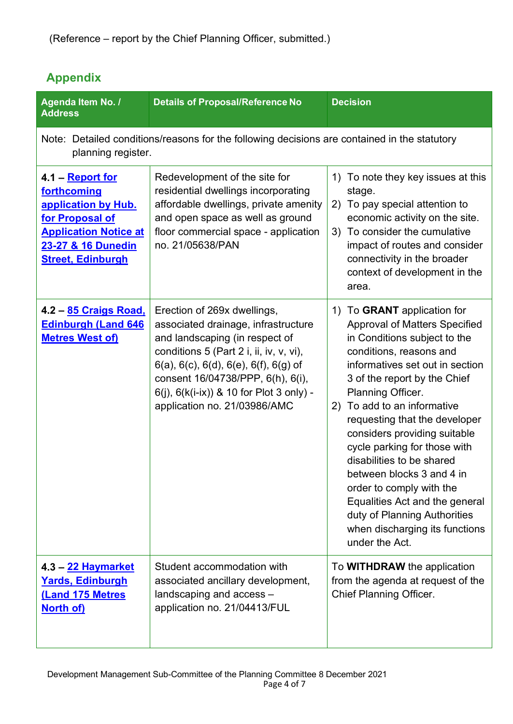## **Appendix**

| Agenda Item No. /<br><b>Address</b>                                                                                                                                | <b>Details of Proposal/Reference No</b>                                                                                                                                                                                                                                                                                    | <b>Decision</b>                                                                                                                                                                                                                                                                                                                                                                                                                                                                                                                                                          |
|--------------------------------------------------------------------------------------------------------------------------------------------------------------------|----------------------------------------------------------------------------------------------------------------------------------------------------------------------------------------------------------------------------------------------------------------------------------------------------------------------------|--------------------------------------------------------------------------------------------------------------------------------------------------------------------------------------------------------------------------------------------------------------------------------------------------------------------------------------------------------------------------------------------------------------------------------------------------------------------------------------------------------------------------------------------------------------------------|
| Note: Detailed conditions/reasons for the following decisions are contained in the statutory<br>planning register.                                                 |                                                                                                                                                                                                                                                                                                                            |                                                                                                                                                                                                                                                                                                                                                                                                                                                                                                                                                                          |
| <u>4.1 – Report for</u><br>forthcoming<br>application by Hub.<br>for Proposal of<br><b>Application Notice at</b><br>23-27 & 16 Dunedin<br><b>Street, Edinburgh</b> | Redevelopment of the site for<br>residential dwellings incorporating<br>affordable dwellings, private amenity<br>and open space as well as ground<br>floor commercial space - application<br>no. 21/05638/PAN                                                                                                              | To note they key issues at this<br>1)<br>stage.<br>To pay special attention to<br>2)<br>economic activity on the site.<br>3) To consider the cumulative<br>impact of routes and consider<br>connectivity in the broader<br>context of development in the<br>area.                                                                                                                                                                                                                                                                                                        |
| 4.2 - 85 Craigs Road,<br><b>Edinburgh (Land 646</b><br><b>Metres West of)</b>                                                                                      | Erection of 269x dwellings,<br>associated drainage, infrastructure<br>and landscaping (in respect of<br>conditions 5 (Part 2 i, ii, iv, v, vi),<br>$6(a)$ , $6(c)$ , $6(d)$ , $6(e)$ , $6(f)$ , $6(g)$ of<br>consent 16/04738/PPP, 6(h), 6(i),<br>6(j), 6(k(i-ix)) & 10 for Plot 3 only) -<br>application no. 21/03986/AMC | To GRANT application for<br>1)<br><b>Approval of Matters Specified</b><br>in Conditions subject to the<br>conditions, reasons and<br>informatives set out in section<br>3 of the report by the Chief<br>Planning Officer.<br>To add to an informative<br>2)<br>requesting that the developer<br>considers providing suitable<br>cycle parking for those with<br>disabilities to be shared<br>between blocks 3 and 4 in<br>order to comply with the<br>Equalities Act and the general<br>duty of Planning Authorities<br>when discharging its functions<br>under the Act. |
| 4.3 - 22 Haymarket<br><b>Yards, Edinburgh</b><br>(Land 175 Metres<br>North of)                                                                                     | Student accommodation with<br>associated ancillary development,<br>landscaping and access -<br>application no. 21/04413/FUL                                                                                                                                                                                                | To <b>WITHDRAW</b> the application<br>from the agenda at request of the<br><b>Chief Planning Officer.</b>                                                                                                                                                                                                                                                                                                                                                                                                                                                                |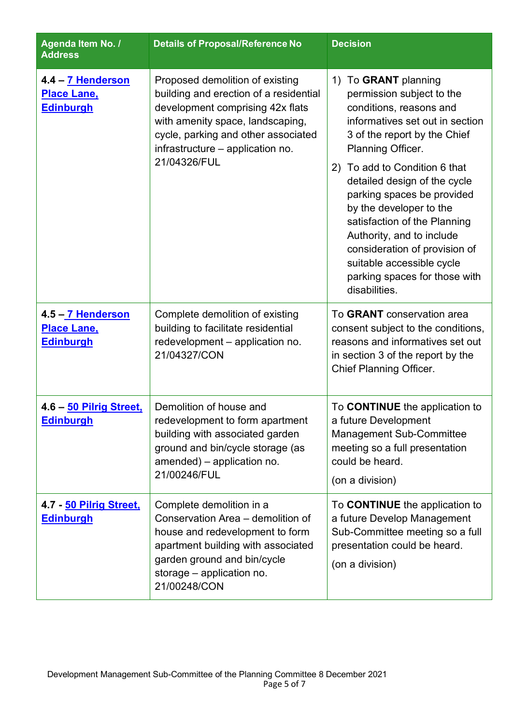| Agenda Item No. /<br><b>Address</b>                         | <b>Details of Proposal/Reference No</b>                                                                                                                                                                                                      | <b>Decision</b>                                                                                                                                                                                                                                                                                                                                                                                                                                                                |
|-------------------------------------------------------------|----------------------------------------------------------------------------------------------------------------------------------------------------------------------------------------------------------------------------------------------|--------------------------------------------------------------------------------------------------------------------------------------------------------------------------------------------------------------------------------------------------------------------------------------------------------------------------------------------------------------------------------------------------------------------------------------------------------------------------------|
| 4.4 - 7 Henderson<br><b>Place Lane,</b><br><b>Edinburgh</b> | Proposed demolition of existing<br>building and erection of a residential<br>development comprising 42x flats<br>with amenity space, landscaping,<br>cycle, parking and other associated<br>infrastructure - application no.<br>21/04326/FUL | To GRANT planning<br>1)<br>permission subject to the<br>conditions, reasons and<br>informatives set out in section<br>3 of the report by the Chief<br>Planning Officer.<br>2) To add to Condition 6 that<br>detailed design of the cycle<br>parking spaces be provided<br>by the developer to the<br>satisfaction of the Planning<br>Authority, and to include<br>consideration of provision of<br>suitable accessible cycle<br>parking spaces for those with<br>disabilities. |
| 4.5 - 7 Henderson<br><b>Place Lane,</b><br><b>Edinburgh</b> | Complete demolition of existing<br>building to facilitate residential<br>redevelopment - application no.<br>21/04327/CON                                                                                                                     | To GRANT conservation area<br>consent subject to the conditions,<br>reasons and informatives set out<br>in section 3 of the report by the<br><b>Chief Planning Officer.</b>                                                                                                                                                                                                                                                                                                    |
| 4.6 - 50 Pilrig Street,<br><b>Edinburgh</b>                 | Demolition of house and<br>redevelopment to form apartment<br>building with associated garden<br>ground and bin/cycle storage (as<br>amended) - application no.<br>21/00246/FUL                                                              | To <b>CONTINUE</b> the application to<br>a future Development<br><b>Management Sub-Committee</b><br>meeting so a full presentation<br>could be heard.<br>(on a division)                                                                                                                                                                                                                                                                                                       |
| 4.7 - 50 Pilrig Street,<br><b>Edinburgh</b>                 | Complete demolition in a<br>Conservation Area - demolition of<br>house and redevelopment to form<br>apartment building with associated<br>garden ground and bin/cycle<br>storage - application no.<br>21/00248/CON                           | To <b>CONTINUE</b> the application to<br>a future Develop Management<br>Sub-Committee meeting so a full<br>presentation could be heard.<br>(on a division)                                                                                                                                                                                                                                                                                                                     |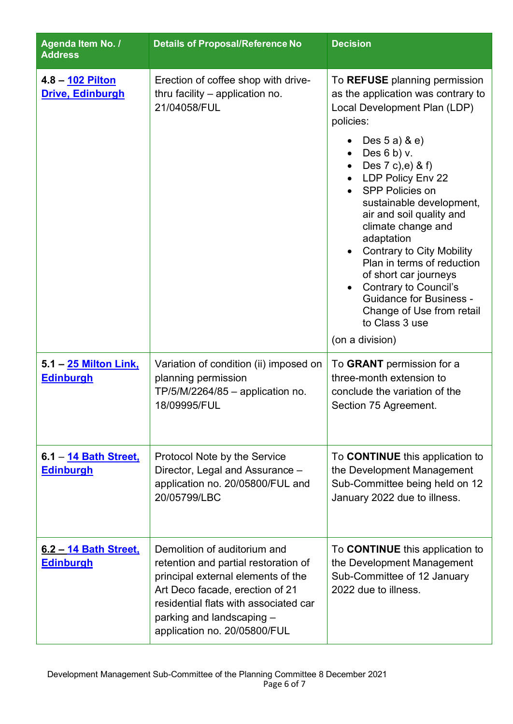| Agenda Item No. /<br><b>Address</b>              | <b>Details of Proposal/Reference No</b>                                                                                                                                                                                                             | <b>Decision</b>                                                                                                                                                                                                                                                                                                                                                                                                                                                                                                                                                              |
|--------------------------------------------------|-----------------------------------------------------------------------------------------------------------------------------------------------------------------------------------------------------------------------------------------------------|------------------------------------------------------------------------------------------------------------------------------------------------------------------------------------------------------------------------------------------------------------------------------------------------------------------------------------------------------------------------------------------------------------------------------------------------------------------------------------------------------------------------------------------------------------------------------|
| 4.8 - 102 Pilton<br>Drive, Edinburgh             | Erection of coffee shop with drive-<br>thru facility – application no.<br>21/04058/FUL                                                                                                                                                              | To REFUSE planning permission<br>as the application was contrary to<br>Local Development Plan (LDP)<br>policies:<br>Des 5 a) & e)<br>Des $6 b$ ) v.<br>Des 7 c), e) & f)<br>LDP Policy Env 22<br><b>SPP Policies on</b><br>sustainable development,<br>air and soil quality and<br>climate change and<br>adaptation<br><b>Contrary to City Mobility</b><br>$\bullet$<br>Plan in terms of reduction<br>of short car journeys<br><b>Contrary to Council's</b><br>$\bullet$<br><b>Guidance for Business -</b><br>Change of Use from retail<br>to Class 3 use<br>(on a division) |
| 5.1 – 25 Milton Link,<br><b>Edinburgh</b>        | Variation of condition (ii) imposed on<br>planning permission<br>$TP/5/M/2264/85 -$ application no.<br>18/09995/FUL                                                                                                                                 | To GRANT permission for a<br>three-month extension to<br>conclude the variation of the<br>Section 75 Agreement.                                                                                                                                                                                                                                                                                                                                                                                                                                                              |
| 6.1 - 14 Bath Street,<br>Edinburgh               | Protocol Note by the Service<br>Director, Legal and Assurance -<br>application no. 20/05800/FUL and<br>20/05799/LBC                                                                                                                                 | To <b>CONTINUE</b> this application to<br>the Development Management<br>Sub-Committee being held on 12<br>January 2022 due to illness.                                                                                                                                                                                                                                                                                                                                                                                                                                       |
| <u>6.2 – 14 Bath Street,</u><br><b>Edinburgh</b> | Demolition of auditorium and<br>retention and partial restoration of<br>principal external elements of the<br>Art Deco facade, erection of 21<br>residential flats with associated car<br>parking and landscaping -<br>application no. 20/05800/FUL | To <b>CONTINUE</b> this application to<br>the Development Management<br>Sub-Committee of 12 January<br>2022 due to illness.                                                                                                                                                                                                                                                                                                                                                                                                                                                  |